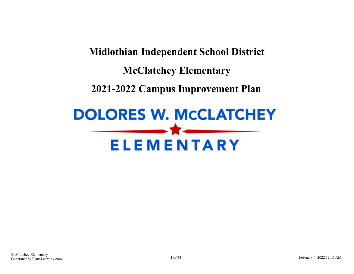## **Midlothian Independent School District McClatchey Elementary 2021-2022 Campus Improvement Plan**

# **DOLORES W. MCCLATCHEY ELEMENTARY**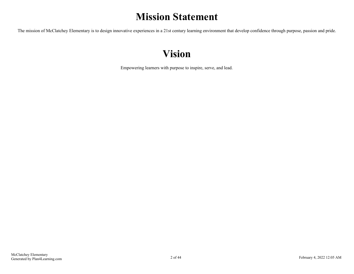### **Mission Statement**

The mission of McClatchey Elementary is to design innovative experiences in a 21st century learning environment that develop confidence through purpose, passion and pride.

### **Vision**

Empowering learners with purpose to inspire, serve, and lead.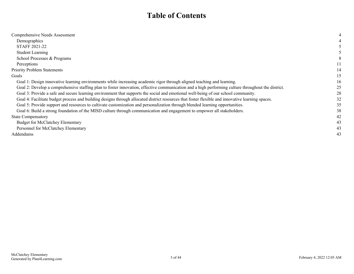### **Table of Contents**

| Comprehensive Needs Assessment                                                                                                                     |    |
|----------------------------------------------------------------------------------------------------------------------------------------------------|----|
| Demographics                                                                                                                                       |    |
| <b>STAFF 2021-22</b>                                                                                                                               |    |
| <b>Student Learning</b>                                                                                                                            |    |
| School Processes & Programs                                                                                                                        |    |
| Perceptions                                                                                                                                        |    |
| <b>Priority Problem Statements</b>                                                                                                                 | 14 |
| Goals                                                                                                                                              | 15 |
| Goal 1: Design innovative learning environments while increasing academic rigor through aligned teaching and learning.                             | 16 |
| Goal 2: Develop a comprehensive staffing plan to foster innovation, effective communication and a high performing culture throughout the district. | 25 |
| Goal 3: Provide a safe and secure learning environment that supports the social and emotional well-being of our school community.                  | 28 |
| Goal 4: Facilitate budget process and building designs through allocated district resources that foster flexible and innovative learning spaces.   | 32 |
| Goal 5: Provide support and resources to cultivate customization and personalization through blended learning opportunities.                       | 35 |
| Goal 6: Build a strong foundation of the MISD culture through communication and engagement to empower all stakeholders.                            | 38 |
| <b>State Compensatory</b>                                                                                                                          | 42 |
| <b>Budget for McClatchey Elementary</b>                                                                                                            | 43 |
| Personnel for McClatchey Elementary                                                                                                                | 43 |
| Addendums                                                                                                                                          | 43 |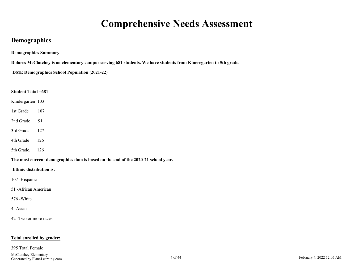### **Comprehensive Needs Assessment**

#### <span id="page-3-0"></span>**Demographics**

**Demographics Summary**

**Dolores McClatchey is an elementary campus serving 681 students. We have students from Kineregarten to 5th grade.**

**DME Demographics School Population (2021-22)**

#### **Student Total =681**

Kindergarten 103

1st Grade 107

2nd Grade 91

3rd Grade 127

4th Grade 126

5th Grade. 126

**The most current demographics data is based on the end of the 2020-21 school year.** 

#### **Ethnic distribution is:**

107 -Hispanic

51 -African American

576 -White

#### 4 -Asian

42 -Two or more races

#### **Total enrolled by gender:**

#### 395 Total Female

McClatchey Elementary Generated by Plan4Learning.com **February 4, 2022 12:05 AM** February 4, 2022 12:05 AM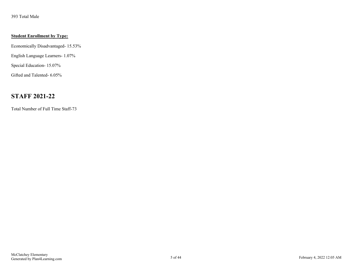<span id="page-4-0"></span>393 Total Male

#### **Student Enrollment by Type:**

Economically Disadvantaged- 15.53%

English Language Learners- 1.07%

Special Education- 15.07%

Gifted and Talented- 6.05%

#### **STAFF 2021-22**

Total Number of Full Time Staff-73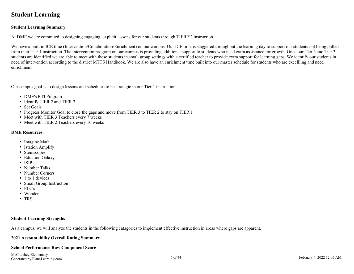#### <span id="page-5-0"></span>**Student Learning**

#### **Student Learning Summary**

At DME we are commited to designing engaging, explicit lessons for our students through TIERED instruction.

We have a built in ICE time (Intervention/Collaboration/Enrichment) on our campus. Our ICE time is staggered throughout the learning day to support our students not being pulled from their Tier 1 instruction. The intervention program on our campus is providing additional support to students who need extra assistance for growth. Once our Tier 2 and Tier 3 students are identified we are able to meet with these students in small group settings with a certified teacher to provide extra support for learning gaps. We identify our students in need of intervention according to the district MTTS Handbook. We are also have an enrichment time built into our master schedule for students who are excellling and need enrichment.

Our campus goal is to design lessons and schedules to be strategic in our Tier 1 instruction.

- DME's RTI Program
- Identify TIER 2 and TIER 3
- Set Goals
- Progress Monitor Goal to close the gaps and move from TIER 3 to TIER 2 to stay on TIER 1
- Meet with TIER 3 Teachers every 7 weeks
- Meet with TIER 2 Teachers every 10 weeks

#### **DME Resources**:

- Imagine Math
- Istation Amplify
- Stemscopes
- Eduction Galaxy
- ISIP
- Number Talks
- Number Corners
- 1 to 1 devices
- Small Group Instruction
- PLC's
- Wonders
- TRS

#### **Student Learning Strengths**

As a campus, we will analyze the students in the following catagories to implement effective instruction in areas where gaps are apparent.

#### **2021 Accountability Overall Rating Summary**

#### **School Performance Raw Component Score**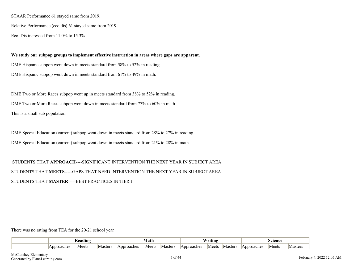STAAR Performance 61 stayed same from 2019.

Relative Performance (eco dis) 61 stayed same from 2019.

Eco. Dis incressed from 11.0% to 15.3%

**We study our subpop groups to implement effective instruction in areas where gaps are apparent.** DME Hispanic subpop went down in meets standard from 58% to 52% in reading. DME Hispanic subpop went down in meets standard from 61% to 49% in math.

DME Two or More Races subpop went up in meets standard from 38% to 52% in reading. DME Two or More Races subpop went down in meets standard from 77% to 60% in math. This is a small sub population.

DME Special Education (current) subpop went down in meets standard from 28% to 27% in reading. DME Special Education (current) subpop went down in meets standard from 21% to 28% in math.

 STUDENTS THAT **APPROACH**----SIGNIFICANT INTERVENTION THE NEXT YEAR IN SUBJECT AREA STUDENTS THAT **MEETS**-----GAPS THAT NEED INTERVENTION THE NEXT YEAR IN SUBJECT AREA STUDENTS THAT **MASTER**-----BEST PRACTICES IN TIER I

There was no rating from TEA for the 20-21 school year

| eadıng |       |         |            | Vlath |         | $\mathbf{w}$<br>'rıtıng |       |         |           |       |         |
|--------|-------|---------|------------|-------|---------|-------------------------|-------|---------|-----------|-------|---------|
| `nnrı. | Meets | Masters | Approaches | Meets | Masters | <b>Approaches</b>       | Meets | Master: | Annroache | Meets | Masters |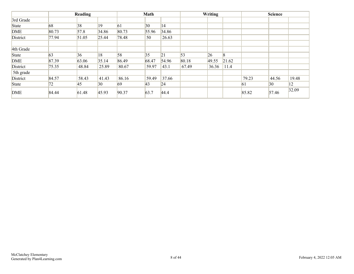|            |       | Reading |       |       | Math         |       |            | Writing |            |       | <b>Science</b> |       |
|------------|-------|---------|-------|-------|--------------|-------|------------|---------|------------|-------|----------------|-------|
| 3rd Grade  |       |         |       |       |              |       |            |         |            |       |                |       |
| State      | 68    | 38      | 19    | 61    | $ 30\rangle$ | 14    |            |         |            |       |                |       |
| <b>DME</b> | 80.73 | 57.8    | 34.86 | 80.73 | 55.96        | 34.86 |            |         |            |       |                |       |
| District   | 77.94 | 51.05   | 25.44 | 78.48 | 50           | 26.63 |            |         |            |       |                |       |
| 4th Grade  |       |         |       |       |              |       |            |         |            |       |                |       |
| State      | 63    | 36      | 18    | 58    | 35           | 21    | $\vert$ 53 | 26      | $\sqrt{8}$ |       |                |       |
| <b>DME</b> | 87.39 | 63.06   | 35.14 | 86.49 | 68.47        | 54.96 | 80.18      | 49.55   | 21.62      |       |                |       |
| District   | 75.35 | 48.84   | 25.89 | 80.67 | 59.97        | 43.1  | 67.49      | 36.36   | 11.4       |       |                |       |
| 5th grade  |       |         |       |       |              |       |            |         |            |       |                |       |
| District   | 84.57 | 58.43   | 41.43 | 86.16 | 59.49        | 37.66 |            |         |            | 79.23 | 44.56          | 19.48 |
| State      | 72    | 45      | 30    | 69    | $ 43\rangle$ | 24    |            |         |            | 61    | 30             | 12    |
| <b>DME</b> | 84.44 | 61.48   | 45.93 | 90.37 | 63.7         | 44.4  |            |         |            | 85.82 | 57.46          | 32.09 |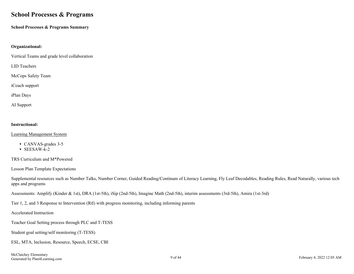#### <span id="page-8-0"></span>**School Processes & Programs**

**School Processes & Programs Summary**

#### **Organizational:**

Vertical Teams and grade level collaboration

LID Teachers

McCops Safety Team

iCoach support

iPlan Days

AI Support

#### **Instructional:**

#### Learning Management System

- CANVAS-grades 3-5
- SEESAW-k-2

TRS Curriculum and M\*Powered

Lesson Plan Template Expectations

Supplemental resources such as Number Talks, Number Corner, Guided Reading/Continum of Literacy Learning, Fly Leaf Decodables, Reading Rules, Read Naturally, various tech apps and programs

Assessments: Amplify (Kinder & 1st), DRA (1st-5th), iSip (2nd-5th), Imagine Math (2nd-5th), interim assessments (3rd-5th), Amira (1st-3rd)

Tier 1, 2, and 3 Response to Intervention (RtI) with progress monitoring, including informing parents

Accelerated Instruction

Teacher Goal Setting process through PLC and T-TESS

Student goal setting/self monitoring (T-TESS)

ESL, MTA, Inclusion, Resource, Speech, ECSE, CBI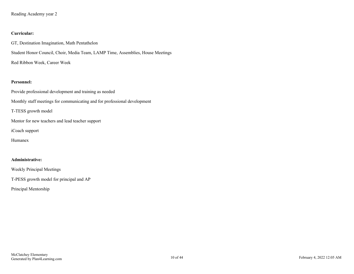Reading Academy year 2

#### **Curricular:**

GT, Destination Imagination, Math Pentathelon Student Honor Council, Choir, Media Team, LAMP Time, Assemblies, House Meetings Red Ribbon Week, Career Week

#### **Personnel:**

Provide professional development and training as needed Monthly staff meetings for communicating and for professional development T-TESS growth model

Mentor for new teachers and lead teacher support

iCoach support

Humanex

#### **Administrative:**

Weekly Principal Meetings

T-PESS growth model for principal and AP

Principal Mentorship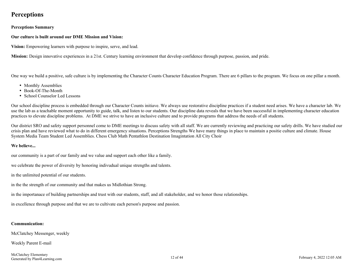#### <span id="page-11-0"></span>**Perceptions**

**Perceptions Summary**

#### **Our culture is built around our DME Mission and Vision:**

**Vision:** Empowering learners with purpose to inspire, serve, and lead.

**Mission:** Design innovative experiences in a 21st. Century learning environment that develop confidence through purpose, passion, and pride.

One way we build a positive, safe culture is by implementing the Character Counts Character Education Program. There are 6 pillars to the program. We focus on one pillar a month.

- Monthly Assemblies
- Book-Of-The-Month
- School Counselor Led Lessons

Our school discipline process is embedded through our Character Counts initiave. We always use restorative discipline practices if a student need arises. We have a character lab. We use the lab as a teachable moment opportunity to guide, talk, and listen to our students. Our discipline data reveals that we have been successful in implementing character education practices to elevate discipline problems. At DME we strive to have an inclusive culture and to provide programs that address the needs of all students.

Our district SRO and safety support personnel come to DME meetings to discuss safety with all staff. We are currently reviewing and practicing our safety drills. We have studied our crisis plan and have reviewed what to do in different emergency situations. Perceptions Strengths We have many things in place to maintain a positie culture and climate. House System Media Team Student Led Assemblies. Chess Club Math Pentathlon Destination Imagintation All City Choir

#### **We believe...**

our community is a part of our family and we value and support each other like a family.

we celebrate the power of diversity by honoring indivudual unique strengths and talents.

in the unlimited potential of our students.

in the the strength of our community and that makes us Midlothian Strong.

in the importanace of building partnerships and trust with our students, staff, and all stakeholder, and we honor those relationships.

in excellence through purpose and that we are to cultivate each person's purpose and passion.

#### **Communication:**

McClatchey Messenger, weekly

Weekly Parent E-mail

McClatchey Elementary Generated by Plan4Learning.com February 4, 2022 12:05 AM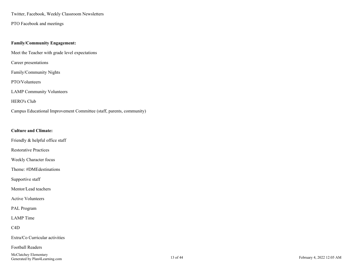Twitter, Facebook, Weekly Classroom Newsletters

PTO Facebook and meetings

#### **Family/Community Engagement:**

Meet the Teacher with grade level expectations

Career presentations

Family/Community Nights

PTO/Volunteers

LAMP Community Volunteers

#### HERO's Club

Campus Educational Improvement Committee (staff, parents, community)

#### **Culture and Climate:**

Friendly & helpful office staff

Restorative Practices

Weekly Character focus

Theme: #DMEdestinations

Supportive staff

Mentor/Lead teachers

Active Volunteers

PAL Program

LAMP Time

C4D

Extra/Co Curricular activities

Football Readers

McClatchey Elementary February Elementary<br>Generated by Plan4Learning.com 13 of 44 February 4, 2022 12:05 AM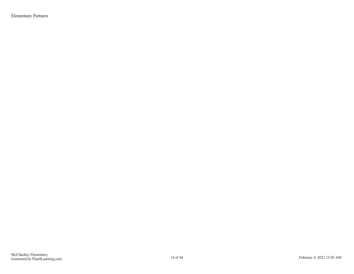Elementary Partners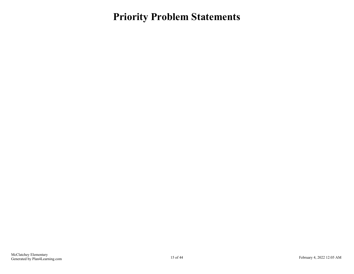<span id="page-14-0"></span>**Priority Problem Statements**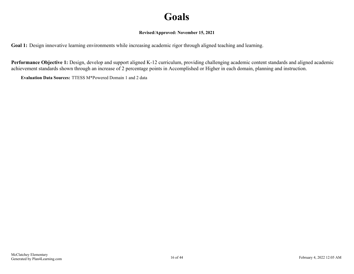### **Goals**

#### **Revised/Approved: November 15, 2021**

<span id="page-15-0"></span>**Goal 1:** Design innovative learning environments while increasing academic rigor through aligned teaching and learning.

**Performance Objective 1:** Design, develop and support aligned K-12 curriculum, providing challenging academic content standards and aligned academic achievement standards shown through an increase of 2 percentage points in Accomplished or Higher in each domain, planning and instruction.

**Evaluation Data Sources:** TTESS M\*Powered Domain 1 and 2 data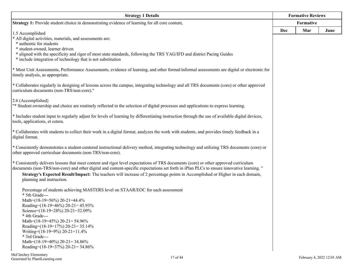| <b>Strategy 1 Details</b>                                                                                                                                                                                                                                                   |     | <b>Formative Reviews</b> |      |
|-----------------------------------------------------------------------------------------------------------------------------------------------------------------------------------------------------------------------------------------------------------------------------|-----|--------------------------|------|
| <b>Strategy 1:</b> Provide student choice in demonstrating evidence of learning for all core content,                                                                                                                                                                       |     | Formative                |      |
| 1.5 Accomplished                                                                                                                                                                                                                                                            | Dec | Mar                      | June |
| * All digital activities, materials, and assessments are:                                                                                                                                                                                                                   |     |                          |      |
| * authentic for students                                                                                                                                                                                                                                                    |     |                          |      |
| * student-owned, learner driven<br>* aligned with the specificity and rigor of most state standards, following the TRS YAG/IFD and district Pacing Guides                                                                                                                   |     |                          |      |
| * include integration of technology that is not substitution                                                                                                                                                                                                                |     |                          |      |
| * Most Unit Assessments, Performance Assessments, evidence of learning, and other formal/informal assessments are digital or electronic for<br>timely analysis, as appropriate.                                                                                             |     |                          |      |
| * Collaborates regularly in designing of lessons across the campus, integrating technology and all TRS documents (core) or other approved<br>curriculum documents (non-TRS/non-core)."                                                                                      |     |                          |      |
| 2.6 (Accomplished)<br>"* Student ownership and choice are routinely reflected in the selection of digital processes and applications to express learning.                                                                                                                   |     |                          |      |
|                                                                                                                                                                                                                                                                             |     |                          |      |
| * Includes student input to regularly adjust for levels of learning by differentiating instruction through the use of available digital devices,<br>tools, applications, et cetera.                                                                                         |     |                          |      |
| * Collaborates with students to collect their work in a digital format, analyzes the work with students, and provides timely feedback in a<br>digital format.                                                                                                               |     |                          |      |
| * Consistently demonstrates a student-centered instructional delivery method, integrating technology and utilizing TRS documents (core) or<br>other approved curriculuar documents (non-TRS/non-core).                                                                      |     |                          |      |
| * Consistently delivers lessons that meet content and rigor level expectations of TRS documents (core) or other approved curriculum                                                                                                                                         |     |                          |      |
| documents (non-TRS/non-core) and other digital and content-specific expectations set forth in iPlan PLCs to ensure innovative learning. "<br>Strategy's Expected Result/Impact: The teachers will increase of 2 percentage points in Accomplished or Higher in each domain, |     |                          |      |
| planning and instruction.                                                                                                                                                                                                                                                   |     |                          |      |
| Percentage of students achieving MASTERS level on STAAR/EOC for each assessment                                                                                                                                                                                             |     |                          |      |
| * 5th Grade---<br>Math=(18-19=56%) 20-21=44.4%                                                                                                                                                                                                                              |     |                          |      |
| Reading=(18-19=46%) 20-21= 45.93%                                                                                                                                                                                                                                           |     |                          |      |
| Science=(18-19=28%) 20-21=32.09%                                                                                                                                                                                                                                            |     |                          |      |
| * 4th Grade---<br>Math= $(18-19=45\%)$ 20-21= 54.96%                                                                                                                                                                                                                        |     |                          |      |
| Reading= $(18-19=17\%)$ 20-21= 35.14%                                                                                                                                                                                                                                       |     |                          |      |
| Writing=(18-19=9%) 20-21=11.4%                                                                                                                                                                                                                                              |     |                          |      |
| * 3rd Grade---                                                                                                                                                                                                                                                              |     |                          |      |
| Math= $(18-19=40\%)$ 20-21= 34.86%<br>Reading= $(18-19=37\%)$ 20-21= 34.86%                                                                                                                                                                                                 |     |                          |      |
|                                                                                                                                                                                                                                                                             |     |                          |      |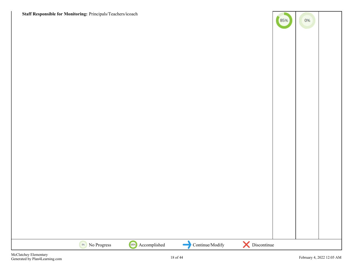**Staff Responsible for Monitoring:** Principals/Teachers/icoach

| Staff Responsible for Monitoring: Principals/Teachers/icoach |                   |                 |               | (85%) | $0\%$ |  |
|--------------------------------------------------------------|-------------------|-----------------|---------------|-------|-------|--|
|                                                              |                   |                 |               |       |       |  |
|                                                              |                   |                 |               |       |       |  |
|                                                              |                   |                 |               |       |       |  |
|                                                              |                   |                 |               |       |       |  |
|                                                              |                   |                 |               |       |       |  |
|                                                              |                   |                 |               |       |       |  |
|                                                              |                   |                 |               |       |       |  |
|                                                              |                   |                 |               |       |       |  |
|                                                              |                   |                 |               |       |       |  |
|                                                              |                   |                 |               |       |       |  |
|                                                              |                   |                 |               |       |       |  |
|                                                              |                   |                 |               |       |       |  |
| No Progress                                                  | 100% Accomplished | Continue/Modify | X Discontinue |       |       |  |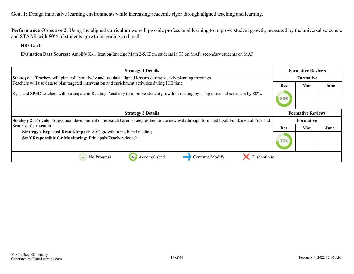**Performance Objective 2:** Using the aligned curriculum we will provide professional learning to improve student growth, measured by the universal screeners and STAAR with 80% of students growth in reading and math.

**HB3 Goal**

**Evaluation Data Sources:** Amplify K-1, Istation/Imagine Math 2-5, Elem students in T3 on MAP, secondary students on MAP

| <b>Strategy 1 Details</b>                                                                                                                       |                          | <b>Formative Reviews</b> |      |  |
|-------------------------------------------------------------------------------------------------------------------------------------------------|--------------------------|--------------------------|------|--|
| Strategy 1: Teachers will plan collaboratively and use data aligned lessons during weekly planning meetings.                                    | <b>Formative</b>         |                          |      |  |
| Teachers will use data to plan targeted intervention and enrichment activities during ICE time.                                                 | Dec                      | Mar                      | June |  |
| K, 1, and SPED teachers will participate in Reading Academy to improve student growth in reading by using universal screeners by 80%.           | 80%                      |                          |      |  |
| <b>Strategy 2 Details</b>                                                                                                                       | <b>Formative Reviews</b> |                          |      |  |
| <b>Strategy 2:</b> Provide professional development on research based strategies tied to the new walkthrough form and book Fundamental Five and | Formative                |                          |      |  |
| Sean Cain's research.                                                                                                                           | <b>Dec</b>               | Mar                      | June |  |
| <b>Strategy's Expected Result/Impact: 80% growth in math and reading</b><br>Staff Responsible for Monitoring: Principals/Teachers/icoach        |                          |                          |      |  |
| 0%<br>Accomplished<br>No Progress<br>Continue/Modify<br>Discontinue<br>100%                                                                     |                          |                          |      |  |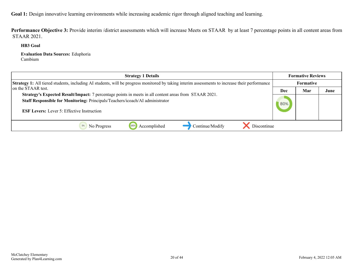Performance Objective 3: Provide interim /district assessments which will increase Meets on STAAR by at least 7 percentage points in all content areas from STAAR 2021.

**HB3 Goal**

**Evaluation Data Sources:** Eduphoria Cambium

| <b>Strategy 1 Details</b>                                                                                                                                                                                                                   |     | <b>Formative Reviews</b> |      |
|---------------------------------------------------------------------------------------------------------------------------------------------------------------------------------------------------------------------------------------------|-----|--------------------------|------|
| <b>Strategy 1:</b> All tiered students, including AI students, will be progress monitored by taking interim assessments to increase their performance                                                                                       |     | <b>Formative</b>         |      |
| on the STAAR test.                                                                                                                                                                                                                          | Dec | Mar                      | June |
| Strategy's Expected Result/Impact: 7 percentage points in meets in all content areas from STAAR 2021.<br>Staff Responsible for Monitoring: Principals/Teachers/icoach/AI administrator<br><b>ESF Levers:</b> Lever 5: Effective Instruction | 80% |                          |      |
| Accomplished<br>Continue/Modify<br>Discontinue<br>No Progress                                                                                                                                                                               |     |                          |      |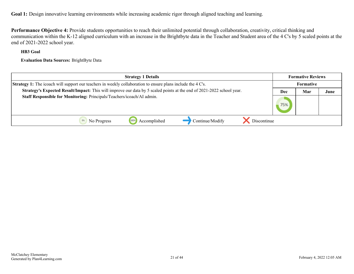**Performance Objective 4:** Provide students opportunities to reach their unlimited potential through collaboration, creativity, critical thinking and communication within the K-12 aligned curriculum with an increase in the Brightbyte data in the Teacher and Student area of the 4 C's by 5 scaled points at the end of 2021-2022 school year.

#### **HB3 Goal**

**Evaluation Data Sources:** BrightByte Data

| <b>Strategy 1 Details</b>                                                                                             | <b>Formative Reviews</b> |           |      |
|-----------------------------------------------------------------------------------------------------------------------|--------------------------|-----------|------|
| <b>Strategy 1:</b> The icoach will support our teachers in weekly collaboration to ensure plans include the 4 C's.    |                          | Formative |      |
| Strategy's Expected Result/Impact: This will improve our data by 5 scaled points at the end of 2021-2022 school year. | Dec                      | Mar       | June |
| Staff Responsible for Monitoring: Principals/Teachers/icoach/AI admin.                                                | 75%                      |           |      |
| Continue/Modify<br>Discontinue<br>Accomplished<br>100<br>No Progress                                                  |                          |           |      |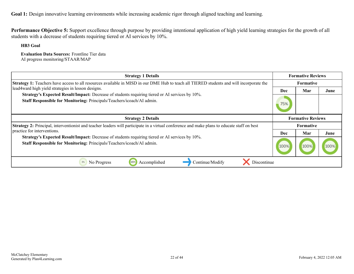**Performance Objective 5:** Support excellence through purpose by providing intentional application of high yield learning strategies for the growth of all students with a decrease of students requiring tiered or AI services by 10%.

**HB3 Goal**

**Evaluation Data Sources:** Frontline Tier data AI progress monitoring/STAAR/MAP

| <b>Strategy 1 Details</b>                                                                                                                                                 |                          | <b>Formative Reviews</b> |      |
|---------------------------------------------------------------------------------------------------------------------------------------------------------------------------|--------------------------|--------------------------|------|
| Strategy 1: Teachers have access to all resources available in MISD in our DME Hub to teach all TIERED students and will incorporate the                                  | Formative                |                          |      |
| lead4ward high yield strategies in lesson designs.                                                                                                                        | Dec                      | Mar                      | June |
| Strategy's Expected Result/Impact: Decrease of students requiring tiered or AI services by 10%.<br>Staff Responsible for Monitoring: Principals/Teachers/icoach/AI admin. | 75%                      |                          |      |
| <b>Strategy 2 Details</b>                                                                                                                                                 | <b>Formative Reviews</b> |                          |      |
| Strategy 2: Principal, interventionist and teacher leaders will participate in a virtual conference and make plans to educate staff on best                               |                          | Formative                |      |
| practice for interventions.                                                                                                                                               | <b>Dec</b>               | Mar                      | June |
| Strategy's Expected Result/Impact: Decrease of students requiring tiered or AI services by 10%.<br>Staff Responsible for Monitoring: Principals/Teachers/icoach/AI admin. | 100%                     | 100%                     |      |
| Discontinue<br>Accomplished<br>Continue/Modify<br>0%<br>No Progress<br>1009                                                                                               |                          |                          |      |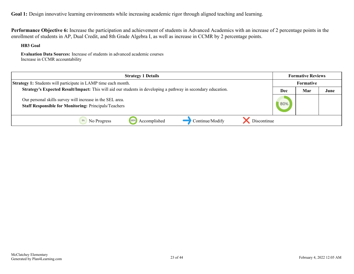**Performance Objective 6:** Increase the participation and achievement of students in Advanced Academics with an increase of 2 percentage points in the enrollment of students in AP, Dual Credit, and 8th Grade Algebra I, as well as increase in CCMR by 2 percentage points.

**HB3 Goal**

**Evaluation Data Sources:** Increase of students in advanced academic courses Increase in CCMR accountability

| <b>Strategy 1 Details</b>                                                                                                 | <b>Formative Reviews</b> |                  |      |
|---------------------------------------------------------------------------------------------------------------------------|--------------------------|------------------|------|
| <b>Strategy 1:</b> Students will participate in LAMP time each month.                                                     |                          | <b>Formative</b> |      |
| <b>Strategy's Expected Result/Impact:</b> This will aid our students in developing a pathway in secondary education.      | Dec                      | Mar              | June |
| Our personal skills survey will increase in the SEL area.<br><b>Staff Responsible for Monitoring: Principals/Teachers</b> | 80%                      |                  |      |
| Discontinue<br>Continue/Modify<br>Accomplished<br>1009<br>No Progress                                                     |                          |                  |      |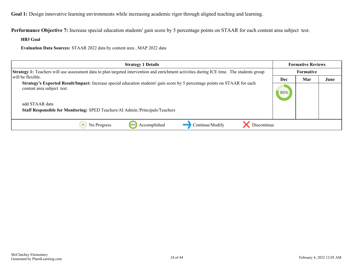**Performance Objective 7:** Increase special education students' gain score by 5 percentage points on STAAR for each content area subject test.

**HB3 Goal**

**Evaluation Data Sources:** STAAR 2022 data by content area , MAP 2022 data

| <b>Strategy 1 Details</b>                                                                                                                                        |     | <b>Formative Reviews</b> |      |
|------------------------------------------------------------------------------------------------------------------------------------------------------------------|-----|--------------------------|------|
| Strategy 1: Teachers will use assessment data to plan targeted intervention and enrichment activities during ICE time. The students group                        |     | <b>Formative</b>         |      |
| will be flexible.                                                                                                                                                | Dec | Mar                      | June |
| <b>Strategy's Expected Result/Impact:</b> Increase special education students' gain score by 5 percentage points on STAAR for each<br>content area subject test. |     |                          |      |
| add STAAR data                                                                                                                                                   |     |                          |      |
| <b>Staff Responsible for Monitoring: SPED Teachers/AI Admin./Principals/Teachers</b>                                                                             |     |                          |      |
| Accomplished<br>Continue/Modify<br>Discontinue<br>No Progress<br>100%                                                                                            |     |                          |      |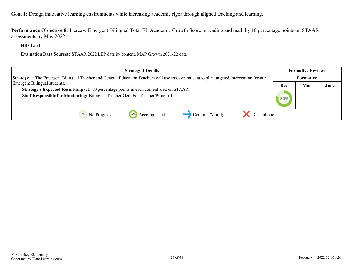**Performance Objective 8:** Increase Emergent Bilingual Total EL Academic Growth Score in reading and math by 10 percentage points on STAAR assessments by May 2022.

**HB3 Goal**

**Evaluation Data Sources:** STAAR 2022 LEP data by content, MAP Growth 2021-22 data

| <b>Strategy 1 Details</b>                                                                                                                       | <b>Formative Reviews</b> |                  |      |
|-------------------------------------------------------------------------------------------------------------------------------------------------|--------------------------|------------------|------|
| <b>Strategy 1:</b> The Emergent Bilingual Teacher and General Education Teachers will use assessment data to plan targeted intervention for our |                          | <b>Formative</b> |      |
| Emergent Bilingual students.                                                                                                                    | Dec                      | Mar              | June |
| Strategy's Expected Result/Impact: 10 percentage points in each content area on STAAR.                                                          |                          |                  |      |
| Staff Responsible for Monitoring: Bilingual Teacher/Gen. Ed. Teacher/Principal                                                                  | 80%                      |                  |      |
|                                                                                                                                                 |                          |                  |      |
| Continue/Modify<br>Discontinue<br>No Progress<br>Accomplished                                                                                   |                          |                  |      |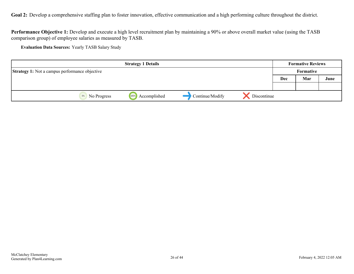<span id="page-25-0"></span>Goal 2: Develop a comprehensive staffing plan to foster innovation, effective communication and a high performing culture throughout the district.

**Performance Objective 1:** Develop and execute a high level recruitment plan by maintaining a 90% or above overall market value (using the TASB comparison group) of employee salaries as measured by TASB.

**Evaluation Data Sources:** Yearly TASB Salary Study

| <b>Strategy 1 Details</b>                             |                      |                 |             | <b>Formative Reviews</b> |     |      |  |
|-------------------------------------------------------|----------------------|-----------------|-------------|--------------------------|-----|------|--|
| <b>Strategy 1:</b> Not a campus performance objective |                      |                 |             | Formative                |     |      |  |
|                                                       |                      |                 |             | Dec                      | Mar | June |  |
|                                                       |                      |                 |             |                          |     |      |  |
| 0%<br>No Progress                                     | Accomplished<br>100% | Continue/Modify | Discontinue |                          |     |      |  |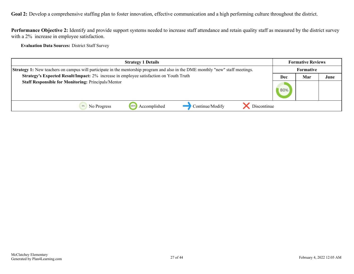**Goal 2:** Develop a comprehensive staffing plan to foster innovation, effective communication and a high performing culture throughout the district.

**Performance Objective 2:** Identify and provide support systems needed to increase staff attendance and retain quality staff as measured by the district survey with a 2% increase in employee satisfaction.

**Evaluation Data Sources:** District Staff Survey

| <b>Strategy 1 Details</b>                                                                                                       | <b>Formative Reviews</b> |     |      |
|---------------------------------------------------------------------------------------------------------------------------------|--------------------------|-----|------|
| Strategy 1: New teachers on campus will participate in the mentorship program and also in the DME monthly "new" staff meetings. | <b>Formative</b>         |     |      |
| Strategy's Expected Result/Impact: 2% increase in employee satisfaction on Youth Truth                                          | Dec                      | Mar | June |
| <b>Staff Responsible for Monitoring: Principals/Mentor</b>                                                                      | 80%                      |     |      |
| Discontinue<br>Accomplished<br>Continue/Modify<br>100%<br>No Progress                                                           |                          |     |      |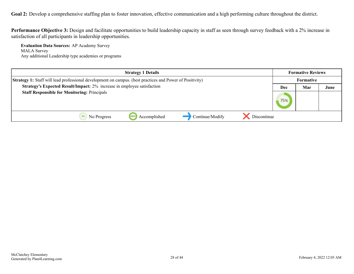Goal 2: Develop a comprehensive staffing plan to foster innovation, effective communication and a high performing culture throughout the district.

**Performance Objective 3:** Design and facilitate opportunities to build leadership capacity in staff as seen through survey feedback with a 2% increase in satisfaction of all participants in leadership opportunities.

**Evaluation Data Sources:** AP Academy Survey MALA Survey Any additional Leadership type academies or programs

|                                                                                                                 | <b>Strategy 1 Details</b> |                 |             |                  | <b>Formative Reviews</b> |      |  |
|-----------------------------------------------------------------------------------------------------------------|---------------------------|-----------------|-------------|------------------|--------------------------|------|--|
| <b>Strategy 1:</b> Staff will lead professional development on campus. (best practices and Power of Positivity) |                           |                 |             | <b>Formative</b> |                          |      |  |
| Strategy's Expected Result/Impact: 2% increase in employee satisfaction                                         |                           |                 |             | Dec              | Mar                      | June |  |
| <b>Staff Responsible for Monitoring: Principals</b>                                                             |                           |                 |             | 75%              |                          |      |  |
| No Progress                                                                                                     | Accomplished              | Continue/Modify | Discontinue |                  |                          |      |  |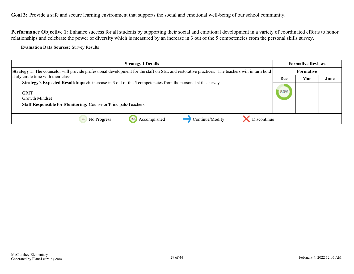<span id="page-28-0"></span>Performance Objective 1: Enhance success for all students by supporting their social and emotional development in a variety of coordinated efforts to honor relationships and celebrate the power of diversity which is measured by an increase in 3 out of the 5 competencies from the personal skills survey.

**Evaluation Data Sources:** Survey Results

| <b>Strategy 1 Details</b>                                                                                                                                                                                              | <b>Formative Reviews</b> |     |      |
|------------------------------------------------------------------------------------------------------------------------------------------------------------------------------------------------------------------------|--------------------------|-----|------|
| <b>Strategy 1:</b> The counselor will provide professional development for the staff on SEL and restorative practices. The teachers will in turn hold                                                                  | Formative                |     |      |
| daily circle time with their class.                                                                                                                                                                                    | Dec                      | Mar | June |
| Strategy's Expected Result/Impact: increase in 3 out of the 5 competencies from the personal skills survey.<br><b>GRIT</b><br>Growth Mindset<br><b>Staff Responsible for Monitoring: Counselor/Principals/Teachers</b> | 80%                      |     |      |
| Discontinue<br>Accomplished<br>Continue/Modify<br>No Progress                                                                                                                                                          |                          |     |      |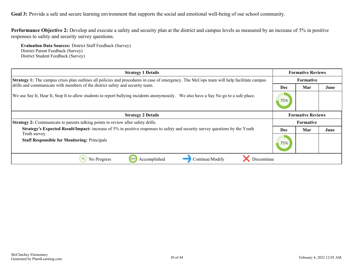**Performance Objective 2:** Develop and execute a safety and security plan at the district and campus levels as measured by an increase of 5% in positive responses to safety and security survey questions.

**Evaluation Data Sources:** District Staff Feedback (Survey) District Parent Feedback (Survey) District Student Feedback (Survey)

| <b>Strategy 1 Details</b>                                                                                                                        | <b>Formative Reviews</b> |                          |      |  |
|--------------------------------------------------------------------------------------------------------------------------------------------------|--------------------------|--------------------------|------|--|
| <b>Strategy 1:</b> The campus crisis plan outlines all policies and procedures in case of emergency. The McCops team will help facilitate campus |                          | <b>Formative</b>         |      |  |
| drills and communicate with members of the district safety and security team.                                                                    | Dec                      | Mar                      | June |  |
| We use See It, Hear It, Stop It to allow students to report bullying incidents anonymously. We also have a Say No go to a safe place.            | 75%                      |                          |      |  |
| <b>Strategy 2 Details</b>                                                                                                                        |                          | <b>Formative Reviews</b> |      |  |
| <b>Strategy 2:</b> Communicate to parents talking points to review after safety drills.                                                          |                          | <b>Formative</b>         |      |  |
| <b>Strategy's Expected Result/Impact:</b> increase of 5% in positive responses to safety and security survey questions by the Youth              | Dec                      | Mar                      | June |  |
| Truth survey<br><b>Staff Responsible for Monitoring: Principals</b>                                                                              | 75%                      |                          |      |  |
| Continue/Modify<br>0%<br>No Progress<br>Accomplished<br>Discontinue                                                                              |                          |                          |      |  |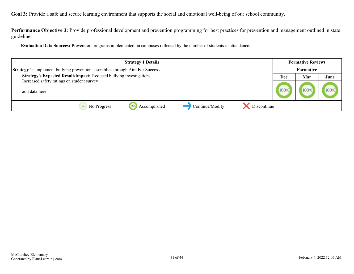**Performance Objective 3:** Provide professional development and prevention programming for best practices for prevention and management outlined in state guidelines.

**Evaluation Data Sources:** Prevention programs implemented on campuses reflected by the number of students in attendance.

| <b>Strategy 1 Details</b>                                                     | <b>Formative Reviews</b> |      |      |
|-------------------------------------------------------------------------------|--------------------------|------|------|
| Strategy 1: Implement bullying prevention assemblies through Aim For Success. | Formative                |      |      |
| Strategy's Expected Result/Impact: Reduced bullying investigations            | Dec                      | Mar  | June |
| Increased safety ratings on student survey<br>add data here                   | 100%                     | 100% | 100% |
| Continue/Modify<br>Discontinue<br>Accomplished<br>No Progress<br>1009         |                          |      |      |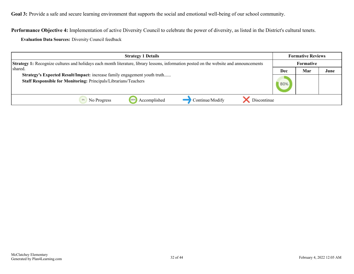**Performance Objective 4:** Implementation of active Diversity Council to celebrate the power of diversity, as listed in the District's cultural tenets.

**Evaluation Data Sources:** Diversity Council feedback

| <b>Strategy 1 Details</b>                                                                                                                      | <b>Formative Reviews</b> |     |      |
|------------------------------------------------------------------------------------------------------------------------------------------------|--------------------------|-----|------|
| <b>Strategy 1:</b> Recognize cultures and holidays each month literature, library lessons, information posted on the website and announcements | <b>Formative</b>         |     |      |
| l shared.                                                                                                                                      | Dec                      | Mar | June |
| Strategy's Expected Result/Impact: increase family engagement youth truth<br>Staff Responsible for Monitoring: Principals/Librarians/Teachers  | 80%                      |     |      |
| Continue/Modify<br>Accomplished<br>Discontinue<br>1009<br>No Progress                                                                          |                          |     |      |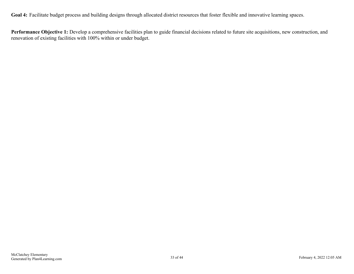<span id="page-32-0"></span>Goal 4: Facilitate budget process and building designs through allocated district resources that foster flexible and innovative learning spaces.

**Performance Objective 1:** Develop a comprehensive facilities plan to guide financial decisions related to future site acquisitions, new construction, and renovation of existing facilities with 100% within or under budget.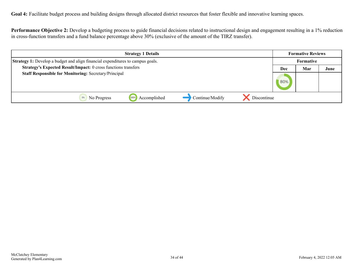**Goal 4:** Facilitate budget process and building designs through allocated district resources that foster flexible and innovative learning spaces.

**Performance Objective 2:** Develop a budgeting process to guide financial decisions related to instructional design and engagement resulting in a 1% reduction in cross-function transfers and a fund balance percentage above 30% (exclusive of the amount of the TIRZ transfer).

| <b>Strategy 1 Details</b>                                                             | <b>Formative Reviews</b> |     |      |
|---------------------------------------------------------------------------------------|--------------------------|-----|------|
| <b>Strategy 1:</b> Develop a budget and align financial expenditures to campus goals. | <b>Formative</b>         |     |      |
| Strategy's Expected Result/Impact: 0 cross functions transfers                        | Dec                      | Mar | June |
| <b>Staff Responsible for Monitoring: Secretary/Principal</b>                          |                          |     |      |
| Continue/Modify<br>Accomplished<br>Discontinue<br>1009<br>No Progress                 |                          |     |      |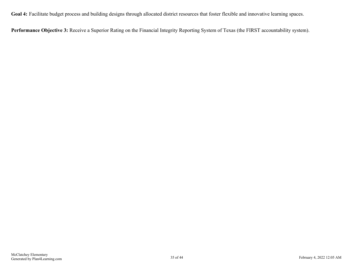**Goal 4:** Facilitate budget process and building designs through allocated district resources that foster flexible and innovative learning spaces.

**Performance Objective 3:** Receive a Superior Rating on the Financial Integrity Reporting System of Texas (the FIRST accountability system).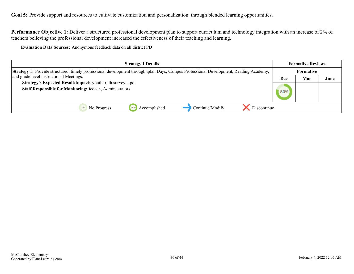<span id="page-35-0"></span>Goal 5: Provide support and resources to cultivate customization and personalization through blended learning opportunities.

**Performance Objective 1:** Deliver a structured professional development plan to support curriculum and technology integration with an increase of 2% of teachers believing the professional development increased the effectiveness of their teaching and learning.

**Evaluation Data Sources:** Anonymous feedback data on all district PD

| <b>Strategy 1 Details</b>                                                                                                                    | <b>Formative Reviews</b> |     |      |
|----------------------------------------------------------------------------------------------------------------------------------------------|--------------------------|-----|------|
| <b>Strategy 1:</b> Provide structured, timely professional development through iplan Days, Campus Professional Development, Reading Academy, | <b>Formative</b>         |     |      |
| and grade level instructional Meetings.                                                                                                      | Dec                      | Mar | June |
| Strategy's Expected Result/Impact: youth truth survey pd                                                                                     |                          |     |      |
| <b>Staff Responsible for Monitoring: icoach, Administrators</b>                                                                              | 80%                      |     |      |
| Continue/Modify<br>Discontinue<br>Accomplished<br>1009<br>No Progress                                                                        |                          |     |      |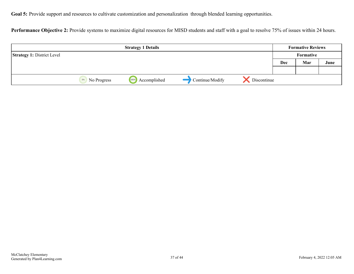Goal 5: Provide support and resources to cultivate customization and personalization through blended learning opportunities.

Performance Objective 2: Provide systems to maximize digital resources for MISD students and staff with a goal to resolve 75% of issues within 24 hours.

|                                   |                   | <b>Strategy 1 Details</b> |                 |             |           | <b>Formative Reviews</b> |      |
|-----------------------------------|-------------------|---------------------------|-----------------|-------------|-----------|--------------------------|------|
| <b>Strategy 1: District Level</b> |                   |                           |                 |             | Formative |                          |      |
|                                   |                   |                           |                 |             | Dec       | Mar                      | June |
|                                   |                   |                           |                 |             |           |                          |      |
|                                   | 0%<br>No Progress | Accomplished<br>100%      | Continue/Modify | Discontinue |           |                          |      |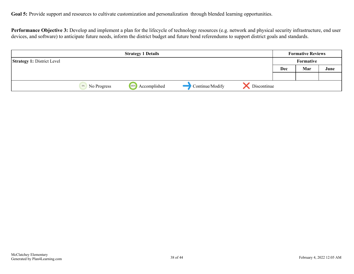Goal 5: Provide support and resources to cultivate customization and personalization through blended learning opportunities.

**Performance Objective 3:** Develop and implement a plan for the lifecycle of technology resources (e.g. network and physical security infrastructure, end user devices, and software) to anticipate future needs, inform the district budget and future bond referendums to support district goals and standards.

|                                   |                   | <b>Strategy 1 Details</b> |                 |             | <b>Formative Reviews</b> |     |      |  |
|-----------------------------------|-------------------|---------------------------|-----------------|-------------|--------------------------|-----|------|--|
| <b>Strategy 1: District Level</b> |                   |                           |                 |             | Formative                |     |      |  |
|                                   |                   |                           |                 |             | Dec                      | Mar | June |  |
|                                   |                   |                           |                 |             |                          |     |      |  |
|                                   | 0%<br>No Progress | Accomplished<br>100%      | Continue/Modify | Discontinue |                          |     |      |  |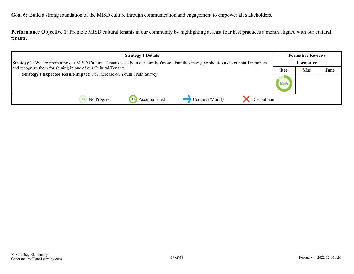<span id="page-38-0"></span>**Performance Objective 1:** Promote MISD cultural tenants in our community by highlighting at least four best practices a month aligned with our cultural tenants.

| <b>Strategy 1 Details</b>                                                                                                                    | <b>Formative Reviews</b> |     |      |
|----------------------------------------------------------------------------------------------------------------------------------------------|--------------------------|-----|------|
| <b>Strategy 1:</b> We are promoting our MISD Cultural Tenants weekly in our family s'more. Families may give shout-outs to our staff members | Formative                |     |      |
| and recognize them for shining in one of our Cultural Tenants.                                                                               | Dec                      | Mar | June |
| Strategy's Expected Result/Impact: 5% increase on Youth Truth Survey                                                                         | 85%                      |     |      |
| Continue/Modify<br>Accomplished<br>Discontinue<br>1009<br>No Progress                                                                        |                          |     |      |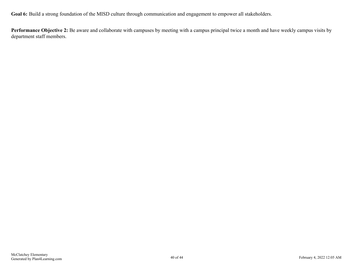**Performance Objective 2:** Be aware and collaborate with campuses by meeting with a campus principal twice a month and have weekly campus visits by department staff members.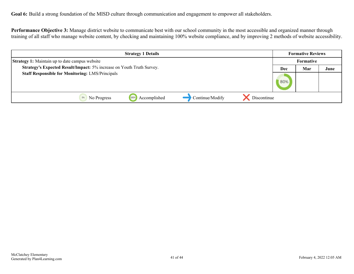**Performance Objective 3:** Manage district website to communicate best with our school community in the most accessible and organized manner through training of all staff who manage website content, by checking and maintaining 100% website compliance, and by improving 2 methods of website accessibility.

| <b>Strategy 1 Details</b>                                             |             |                      |                 |             | <b>Formative Reviews</b> |                  |      |  |
|-----------------------------------------------------------------------|-------------|----------------------|-----------------|-------------|--------------------------|------------------|------|--|
| <b>Strategy 1:</b> Maintain up to date campus website                 |             |                      |                 |             |                          | <b>Formative</b> |      |  |
| Strategy's Expected Result/Impact: 5% increase on Youth Truth Survey. |             |                      |                 |             | Dec                      | Mar              | June |  |
| <b>Staff Responsible for Monitoring: LMS/Principals</b>               |             |                      |                 |             | 80%                      |                  |      |  |
|                                                                       | No Progress | Accomplished<br>100% | Continue/Modify | Discontinue |                          |                  |      |  |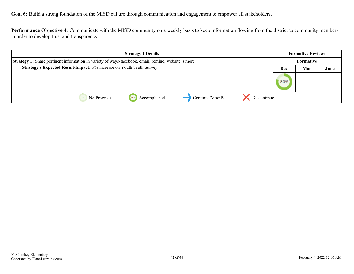**Performance Objective 4:** Communicate with the MISD community on a weekly basis to keep information flowing from the district to community members in order to develop trust and transparency.

| <b>Strategy 1 Details</b>                                                                           |                      |                 |             | <b>Formative Reviews</b> |                  |      |  |
|-----------------------------------------------------------------------------------------------------|----------------------|-----------------|-------------|--------------------------|------------------|------|--|
| Strategy 1: Share pertinent information in variety of ways-facebook, email, remind, website, s'more |                      |                 |             |                          | <b>Formative</b> |      |  |
| Strategy's Expected Result/Impact: 5% increase on Youth Truth Survey.                               |                      |                 |             |                          | Mar              | June |  |
|                                                                                                     |                      |                 |             | 80%                      |                  |      |  |
| No Progress                                                                                         | Accomplished<br>1009 | Continue/Modify | Discontinue |                          |                  |      |  |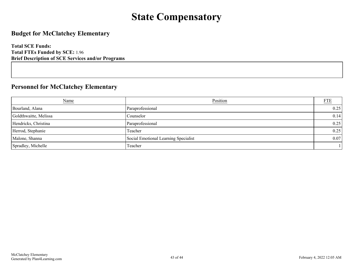### **State Compensatory**

#### <span id="page-42-0"></span>**Budget for McClatchey Elementary**

**Total SCE Funds: Total FTEs Funded by SCE:** 1.96 **Brief Description of SCE Services and/or Programs**

#### **Personnel for McClatchey Elementary**

| Name                  | Position                             | <b>FTE</b> |
|-----------------------|--------------------------------------|------------|
| Bourland, Alana       | Paraprofessional                     | 0.25       |
| Goldthwaitte, Melissa | Counselor                            | 0.14       |
| Hendricks, Christina  | Paraprofessional                     | 0.25       |
| Herrod, Stephanie     | Teacher                              | 0.25       |
| Malone, Shanna        | Social Emotional Learning Specialist | 0.07       |
| Spradley, Michelle    | Teacher                              |            |